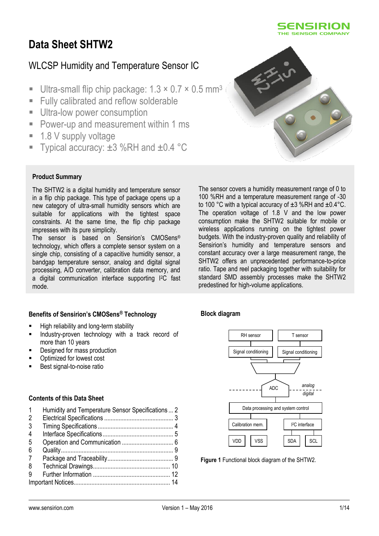

# **Data Sheet SHTW2**

# WLCSP Humidity and Temperature Sensor IC

- Ultra-small flip chip package:  $1.3 \times 0.7 \times 0.5$  mm<sup>3</sup>
- Fully calibrated and reflow solderable
- **Ultra-low power consumption**
- **Power-up and measurement within 1 ms**
- 1.8 V supply voltage
- Typical accuracy: ±3 %RH and ±0.4 °C



#### **Product Summary**

The SHTW2 is a digital humidity and temperature sensor in a flip chip package. This type of package opens up a new category of ultra-small humidity sensors which are suitable for applications with the tightest space constraints. At the same time, the flip chip package impresses with its pure simplicity.

The sensor is based on Sensirion's CMOSens® technology, which offers a complete sensor system on a single chip, consisting of a capacitive humidity sensor, a bandgap temperature sensor, analog and digital signal processing, A/D converter, calibration data memory, and a digital communication interface supporting I<sup>2</sup>C fast mode.

The sensor covers a humidity measurement range of 0 to 100 %RH and a temperature measurement range of -30 to 100 °C with a typical accuracy of ±3 %RH and ±0.4°C. The operation voltage of 1.8 V and the low power consumption make the SHTW2 suitable for mobile or wireless applications running on the tightest power budgets. With the industry-proven quality and reliability of Sensirion's humidity and temperature sensors and constant accuracy over a large measurement range, the SHTW2 offers an unprecedented performance-to-price ratio. Tape and reel packaging together with suitability for standard SMD assembly processes make the SHTW2 predestined for high-volume applications.

## **Benefits of Sensirion's CMOSens® Technology**

- High reliability and long-term stability
- Industry-proven technology with a track record of more than 10 years
- Designed for mass production
- Optimized for lowest cost
- Best signal-to-noise ratio

#### **Contents of this Data Sheet**

| 1 | Humidity and Temperature Sensor Specifications  2 |  |
|---|---------------------------------------------------|--|
| 2 |                                                   |  |
| 3 |                                                   |  |
| 4 |                                                   |  |
| 5 |                                                   |  |
| 6 |                                                   |  |
| 7 |                                                   |  |
| 8 |                                                   |  |
| 9 |                                                   |  |
|   |                                                   |  |

## **Block diagram**



**Figure 1** Functional block diagram of the SHTW2.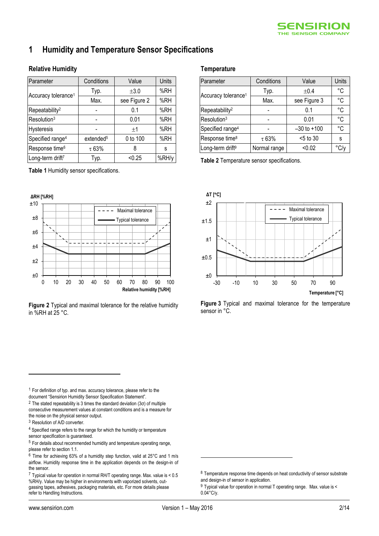## <span id="page-1-0"></span>**1 Humidity and Temperature Sensor Specifications**

#### **Relative Humidity**

<span id="page-1-4"></span><span id="page-1-3"></span>

| Parameter                       | Conditions            | Value        | <b>Units</b> |
|---------------------------------|-----------------------|--------------|--------------|
| Accuracy tolerance <sup>1</sup> | Typ.                  | $\pm 3.0$    | %RH          |
|                                 | Max.                  | see Figure 2 | %RH          |
| Repeatability <sup>2</sup>      |                       | 0.1          | %RH          |
| Resolution <sup>3</sup>         |                       | 0.01         | %RH          |
| <b>Hysteresis</b>               |                       | ±1           | %RH          |
| Specified range <sup>4</sup>    | extended <sup>5</sup> | 0 to 100     | %RH          |
| Response time <sup>6</sup>      | $\tau$ 63%            | 8            | S            |
| Long-term drift7                | Typ.                  | < 0.25       | %RH/y        |

<span id="page-1-5"></span>**Table 1** Humidity sensor specifications.



<span id="page-1-1"></span>**Figure 2** Typical and maximal tolerance for the relative humidity in %RH at 25 °C.

#### **Temperature**

| Parameter                       | Conditions   | Value           | Units         |
|---------------------------------|--------------|-----------------|---------------|
| Accuracy tolerance <sup>1</sup> | Typ.         | ±0.4            | °C            |
|                                 | Max.         | see Figure 3    | °C            |
| Repeatability <sup>2</sup>      |              | 0.1             | °C            |
| Resolution <sup>3</sup>         |              | 0.01            | °C            |
| Specified range <sup>4</sup>    |              | $-30$ to $+100$ | °C            |
| Response time <sup>8</sup>      | $\tau$ 63%   | <5 to 30        | s             |
| Long-term drift <sup>9</sup>    | Normal range | < 0.02          | $\degree$ C/v |

**Table 2** Temperature sensor specifications.



<span id="page-1-2"></span>**Figure 3** Typical and maximal tolerance for the temperature sensor in °C.

 $1$  For definition of typ. and max. accuracy tolerance, please refer to the document "Sensirion Humidity Sensor Specification Statement".

<sup>2</sup> The stated repeatability is 3 times the standard deviation  $(3\sigma)$  of multiple consecutive measurement values at constant conditions and is a measure for the noise on the physical sensor output.

<sup>3</sup> Resolution of A/D converter.

 $\overline{a}$ 

<sup>4</sup> Specified range refers to the range for which the humidity or temperature sensor specification is quaranteed.

<sup>5</sup> For details about recommended humidity and temperature operating range, please refer to sectio[n 1.1.](#page-2-1)

<u>.</u>

<sup>6</sup> Time for achieving 63% of a humidity step function, valid at 25°C and 1 m/s airflow. Humidity response time in the application depends on the design-in of the sensor.

 $7$  Typical value for operation in normal RH/T operating range. Max. value is  $< 0.5$ %RH/y. Value may be higher in environments with vaporized solvents, outgassing tapes, adhesives, packaging materials, etc. For more details please refer to Handling Instructions.

<sup>&</sup>lt;sup>8</sup> Temperature response time depends on heat conductivity of sensor substrate and design-in of sensor in application.

<sup>9</sup> Typical value for operation in normal T operating range. Max. value is <  $0.04^{\circ}$ C/y.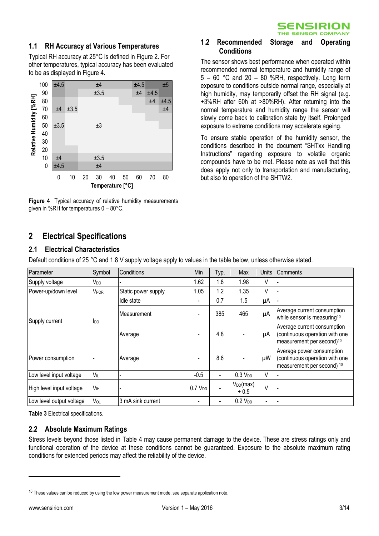

**1.2 Recommended Storage and Operating** 

<span id="page-2-2"></span>The sensor shows best performance when operated within recommended normal temperature and humidity range of 5 – 60 °C and 20 – 80 %RH, respectively. Long term exposure to conditions outside normal range, especially at high humidity, may temporarily offset the RH signal (e.g. +3%RH after 60h at >80%RH). After returning into the normal temperature and humidity range the sensor will slowly come back to calibration state by itself. Prolonged exposure to extreme conditions may accelerate ageing. To ensure stable operation of the humidity sensor, the conditions described in the document "SHTxx Handling Instructions" regarding exposure to volatile organic compounds have to be met. Please note as well that this does apply not only to transportation and manufacturing,

**Conditions**

## <span id="page-2-1"></span>**1.1 RH Accuracy at Various Temperatures**

Typical RH accuracy at 25°C is defined i[n Figure 2.](#page-1-1) For other temperatures, typical accuracy has been evaluated to be as displayed in Figure 4.



**Figure 4** Typical accuracy of relative humidity measurements given in %RH for temperatures 0 – 80°C.

## <span id="page-2-0"></span>**2 Electrical Specifications**

## **2.1 Electrical Characteristics**

| Relative Humidity [%RH] | 100<br>90<br>80<br>$70\,$<br>60<br>50                                                                                                                                                                                                                                                                                                                                                                  | ±4.5<br>±4<br>±3.5       | $\pm 3.5$ |    | ±4<br>±3.5                                                                                                        |                     | ±4.5<br>±4 | ±5<br>exposure to conditions outside normal range, especially at<br>±4.5<br>high humidity, may temporarily offset the RH signal (e.g.<br>±4<br>±4.5<br>+3%RH after 60h at >80%RH). After returning into the<br>±4<br>normal temperature and humidity range the sensor will<br>slowly come back to calibration state by itself. Prolonged |      |                                                                                                                                                                                                                                                                                                                                                        |                     |                |                                     |                |                                                                                                        |
|-------------------------|--------------------------------------------------------------------------------------------------------------------------------------------------------------------------------------------------------------------------------------------------------------------------------------------------------------------------------------------------------------------------------------------------------|--------------------------|-----------|----|-------------------------------------------------------------------------------------------------------------------|---------------------|------------|------------------------------------------------------------------------------------------------------------------------------------------------------------------------------------------------------------------------------------------------------------------------------------------------------------------------------------------|------|--------------------------------------------------------------------------------------------------------------------------------------------------------------------------------------------------------------------------------------------------------------------------------------------------------------------------------------------------------|---------------------|----------------|-------------------------------------|----------------|--------------------------------------------------------------------------------------------------------|
|                         | 40<br>30<br>20<br>10<br>0                                                                                                                                                                                                                                                                                                                                                                              | ±4<br>±4.5               |           |    | ±3<br>±3.5<br>±4                                                                                                  |                     |            |                                                                                                                                                                                                                                                                                                                                          |      | exposure to extreme conditions may accelerate ageing.<br>To ensure stable operation of the humidity sensor, the<br>conditions described in the document "SHTxx Handling<br>Instructions" regarding exposure to volatile organic<br>compounds have to be met. Please note as well that this<br>does apply not only to transportation and manufacturing, |                     |                |                                     |                |                                                                                                        |
|                         |                                                                                                                                                                                                                                                                                                                                                                                                        | 0                        | 10        | 20 | 30<br>40<br>Temperature [°C]                                                                                      | 50                  | 60         | 70                                                                                                                                                                                                                                                                                                                                       | 80   |                                                                                                                                                                                                                                                                                                                                                        |                     |                | but also to operation of the SHTW2. |                |                                                                                                        |
| $\mathbf 2$<br>2.1      | Figure 4 Typical accuracy of relative humidity measurements<br>given in %RH for temperatures $0 - 80^{\circ}$ C.<br><b>Electrical Specifications</b><br><b>Electrical Characteristics</b><br>Default conditions of 25 °C and 1.8 V supply voltage apply to values in the table below, unless otherwise stated.                                                                                         |                          |           |    |                                                                                                                   |                     |            |                                                                                                                                                                                                                                                                                                                                          |      |                                                                                                                                                                                                                                                                                                                                                        |                     |                |                                     |                |                                                                                                        |
|                         | Parameter                                                                                                                                                                                                                                                                                                                                                                                              |                          |           |    | Symbol                                                                                                            | Conditions          |            |                                                                                                                                                                                                                                                                                                                                          |      |                                                                                                                                                                                                                                                                                                                                                        | Min                 | Typ.           | Max                                 | <b>Units</b>   | Comments                                                                                               |
|                         |                                                                                                                                                                                                                                                                                                                                                                                                        | Supply voltage           |           |    | V <sub>DD</sub>                                                                                                   |                     |            |                                                                                                                                                                                                                                                                                                                                          |      |                                                                                                                                                                                                                                                                                                                                                        | 1.62                | 1.8            | 1.98                                | V              |                                                                                                        |
|                         |                                                                                                                                                                                                                                                                                                                                                                                                        | Power-up/down level      |           |    | VPOR                                                                                                              | Static power supply |            |                                                                                                                                                                                                                                                                                                                                          | 1.05 | 1.2                                                                                                                                                                                                                                                                                                                                                    | 1.35                | $\vee$         |                                     |                |                                                                                                        |
|                         |                                                                                                                                                                                                                                                                                                                                                                                                        |                          |           |    |                                                                                                                   | Idle state          |            |                                                                                                                                                                                                                                                                                                                                          |      | 0.7                                                                                                                                                                                                                                                                                                                                                    | 1.5                 | μA             |                                     |                |                                                                                                        |
|                         |                                                                                                                                                                                                                                                                                                                                                                                                        | Supply current           |           |    | <b>I</b> <sub>DD</sub>                                                                                            | Measurement         |            |                                                                                                                                                                                                                                                                                                                                          |      |                                                                                                                                                                                                                                                                                                                                                        |                     | 385            | 465                                 | μA             | Average current consumption<br>while sensor is measuring <sup>10</sup>                                 |
|                         |                                                                                                                                                                                                                                                                                                                                                                                                        |                          |           |    |                                                                                                                   | Average             |            |                                                                                                                                                                                                                                                                                                                                          |      |                                                                                                                                                                                                                                                                                                                                                        |                     | 4.8            |                                     | μA             | Average current consumption<br>(continuous operation with one<br>measurement per second) <sup>10</sup> |
|                         |                                                                                                                                                                                                                                                                                                                                                                                                        | Power consumption        |           |    |                                                                                                                   | Average             |            |                                                                                                                                                                                                                                                                                                                                          |      |                                                                                                                                                                                                                                                                                                                                                        |                     | 8.6            |                                     | μW             | Average power consumption<br>(continuous operation with one<br>measurement per second) 10              |
|                         |                                                                                                                                                                                                                                                                                                                                                                                                        | Low level input voltage  |           |    | $V_{\parallel}$                                                                                                   |                     |            |                                                                                                                                                                                                                                                                                                                                          |      |                                                                                                                                                                                                                                                                                                                                                        | $-0.5$              | ÷,             | 0.3 V <sub>DD</sub>                 | V              |                                                                                                        |
|                         |                                                                                                                                                                                                                                                                                                                                                                                                        | High level input voltage |           |    | V <sub>IH</sub>                                                                                                   |                     |            |                                                                                                                                                                                                                                                                                                                                          |      |                                                                                                                                                                                                                                                                                                                                                        | 0.7 V <sub>DD</sub> |                | $V_{DD}(max)$<br>$+0.5$             | $\vee$         |                                                                                                        |
|                         |                                                                                                                                                                                                                                                                                                                                                                                                        | Low level output voltage |           |    | VOL                                                                                                               | 3 mA sink current   |            |                                                                                                                                                                                                                                                                                                                                          |      |                                                                                                                                                                                                                                                                                                                                                        | $\overline{a}$      | $\blacksquare$ | 0.2 V <sub>DD</sub>                 | $\blacksquare$ |                                                                                                        |
| $2.2\phantom{0}$        | Table 3 Electrical specifications.<br><b>Absolute Maximum Ratings</b><br>Stress levels beyond those listed in Table 4 may cause permanent damage to the device. These are stress ratings only and<br>functional operation of the device at these conditions cannot be guaranteed. Exposure to the absolute maximum rating<br>conditions for extended periods may affect the reliability of the device. |                          |           |    |                                                                                                                   |                     |            |                                                                                                                                                                                                                                                                                                                                          |      |                                                                                                                                                                                                                                                                                                                                                        |                     |                |                                     |                |                                                                                                        |
|                         |                                                                                                                                                                                                                                                                                                                                                                                                        |                          |           |    | <sup>10</sup> These values can be reduced by using the low power measurement mode, see separate application note. |                     |            |                                                                                                                                                                                                                                                                                                                                          |      |                                                                                                                                                                                                                                                                                                                                                        |                     |                |                                     |                |                                                                                                        |

## <span id="page-2-3"></span>**2.2 Absolute Maximum Ratings**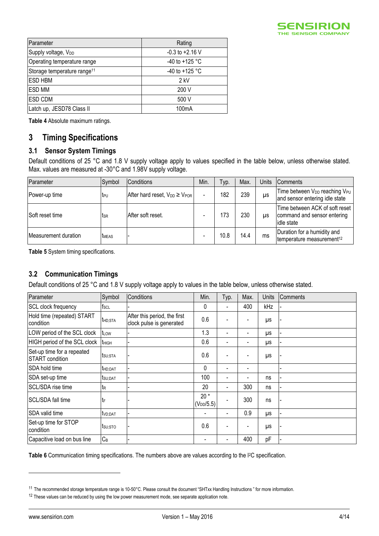

| Parameter                               | Rating              |
|-----------------------------------------|---------------------|
| Supply voltage, V <sub>DD</sub>         | $-0.3$ to $+2.16$ V |
| Operating temperature range             | -40 to +125 °C      |
| Storage temperature range <sup>11</sup> | -40 to +125 °C      |
| <b>ESD HBM</b>                          | $2$ kV              |
| <b>ESD MM</b>                           | 200 V               |
| <b>ESD CDM</b>                          | 500 V               |
| Latch up, JESD78 Class II               | 100 <sub>m</sub> A  |

<span id="page-3-1"></span>**Table 4** Absolute maximum ratings.

## <span id="page-3-0"></span>**3 Timing Specifications**

## **3.1 Sensor System Timings**

Default conditions of 25 °C and 1.8 V supply voltage apply to values specified in the table below, unless otherwise stated. Max. values are measured at -30°C and 1.98V supply voltage.

| Parameter            | Symbol          | Conditions                              | Min.                     | Typ. | Max. | Units | <b>Comments</b>                                                                         |
|----------------------|-----------------|-----------------------------------------|--------------------------|------|------|-------|-----------------------------------------------------------------------------------------|
| Power-up time        | t <sub>PU</sub> | After hard reset, $V_{DD} \geq V_{POR}$ | $\overline{\phantom{0}}$ | 182  | 239  | μs    | Time between V <sub>DD</sub> reaching V <sub>PU</sub><br>and sensor entering idle state |
| Soft reset time      | tsr             | After soft reset.                       |                          | 173  | 230  | μs    | Time between ACK of soft reset<br>command and sensor entering<br>lidle state            |
| Measurement duration | <b>TMEAS</b>    |                                         |                          | 10.8 | 14.4 | ms    | Duration for a humidity and<br>temperature measurement <sup>12</sup>                    |

**Table 5** System timing specifications.

## **3.2 Communication Timings**

Default conditions of 25 °C and 1.8 V supply voltage apply to values in the table below, unless otherwise stated.

| Parameter                                     | Symbol              | Conditions                                               | Min.                     | Typ.                         | Max.                     | Units | Comments |
|-----------------------------------------------|---------------------|----------------------------------------------------------|--------------------------|------------------------------|--------------------------|-------|----------|
| SCL clock frequency                           | $f_{SCL}$           |                                                          | 0                        | $\qquad \qquad \blacksquare$ | 400                      | kHz   |          |
| Hold time (repeated) START<br>condition       | thd; STA            | After this period, the first<br>clock pulse is generated | 0.6                      |                              |                          | μs    |          |
| LOW period of the SCL clock                   | t <sub>LOW</sub>    |                                                          | 1.3                      | $\blacksquare$               |                          | μs    |          |
| HIGH period of the SCL clock                  | <b>t</b> HIGH       |                                                          | 0.6                      | $\blacksquare$               | $\overline{\phantom{0}}$ | μs    |          |
| Set-up time for a repeated<br>START condition | t <sub>su;Sta</sub> |                                                          | 0.6                      | -                            |                          | μs    |          |
| SDA hold time                                 | thd; DAT            |                                                          | 0                        | $\blacksquare$               | $\blacksquare$           |       |          |
| SDA set-up time                               | t <sub>SU;DAT</sub> |                                                          | 100                      | $\blacksquare$               | $\blacksquare$           | ns    |          |
| SCL/SDA rise time                             | t <sub>R</sub>      |                                                          | 20                       | -                            | 300                      | ns    |          |
| SCL/SDA fall time                             | ιt⊧                 |                                                          | $20*$<br>$(V_{DD}/5.5)$  | $\overline{\phantom{0}}$     | 300                      | ns    |          |
| SDA valid time                                | t <sub>VD;DAT</sub> |                                                          | $\overline{\phantom{a}}$ | $\qquad \qquad \blacksquare$ | 0.9                      | μs    |          |
| Set-up time for STOP<br>condition             | tsu;sto             |                                                          | 0.6                      | $\qquad \qquad \blacksquare$ | ۰                        | μs    |          |
| Capacitive load on bus line                   | $C_B$               |                                                          | -                        | $\overline{\phantom{0}}$     | 400                      | pF    |          |

<span id="page-3-2"></span>Table 6 Communication timing specifications. The numbers above are values according to the I<sup>2</sup>C specification.

 $\overline{a}$ 

<sup>&</sup>lt;sup>11</sup> The recommended storage temperature range is 10-50°C. Please consult the document "SHTxx Handling Instructions" for more information.

<sup>&</sup>lt;sup>12</sup> These values can be reduced by using the low power measurement mode, see separate application note.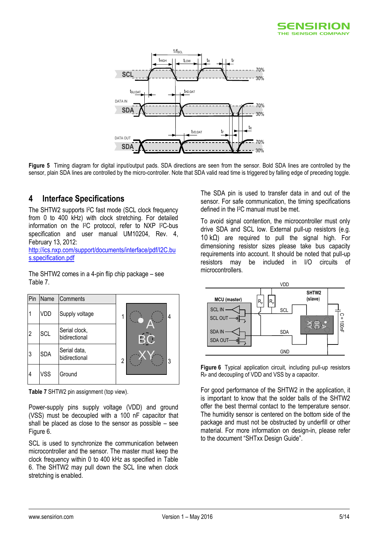



**Figure 5** Timing diagram for digital input/output pads. SDA directions are seen from the sensor. Bold SDA lines are controlled by the sensor, plain SDA lines are controlled by the micro-controller. Note that SDA valid read time is triggered by falling edge of preceding toggle.

# <span id="page-4-0"></span>**4 Interface Specifications**

The SHTW2 supports I<sup>2</sup>C fast mode (SCL clock frequency from 0 to 400 kHz) with clock stretching. For detailed information on the I<sup>2</sup>C protocol, refer to NXP I<sup>2</sup>C-bus specification and user manual UM10204, Rev. 4, February 13, 2012:

[http://ics.nxp.com/support/documents/interface/pdf/I2C.bu](http://ics.nxp.com/support/documents/interface/pdf/i2c.bus.specification.pdf) [s.specification.pdf](http://ics.nxp.com/support/documents/interface/pdf/i2c.bus.specification.pdf)

The SHTW2 comes in a 4-pin flip chip package – see [Table 7.](#page-4-1)



<span id="page-4-1"></span>**Table 7** SHTW2 pin assignment (top view).

Power-supply pins supply voltage (VDD) and ground (VSS) must be decoupled with a 100 nF capacitor that shall be placed as close to the sensor as possible – see [Figure 6.](#page-4-2)

SCL is used to synchronize the communication between microcontroller and the sensor. The master must keep the clock frequency within 0 to 400 kHz as specified in [Table](#page-3-2)  [6.](#page-3-2) The SHTW2 may pull down the SCL line when clock stretching is enabled.

The SDA pin is used to transfer data in and out of the sensor. For safe communication, the timing specifications defined in the I <sup>2</sup>C manual must be met.

To avoid signal contention, the microcontroller must only drive SDA and SCL low. External pull-up resistors (e.g. 10 k $Ω$ ) are required to pull the signal high. For dimensioning resistor sizes please take bus capacity requirements into account. It should be noted that pull-up resistors may be included in I/O circuits of microcontrollers.



<span id="page-4-2"></span>**Figure 6** Typical application circuit, including pull-up resistors R<sub>P</sub> and decoupling of VDD and VSS by a capacitor.

For good performance of the SHTW2 in the application, it is important to know that the solder balls of the SHTW2 offer the best thermal contact to the temperature sensor. The humidity sensor is centered on the bottom side of the package and must not be obstructed by underfill or other material. For more information on design-in, please refer to the document "SHTxx Design Guide".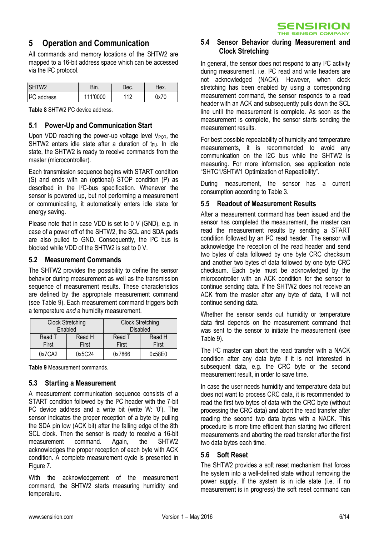

## <span id="page-5-0"></span>**5 Operation and Communication**

All commands and memory locations of the SHTW2 are mapped to a 16-bit address space which can be accessed via the I <sup>2</sup>C protocol.

| SHTW <sub>2</sub>      | Зin.     | Dec. | Чех. |
|------------------------|----------|------|------|
| <sup>2</sup> C address | 111'0000 | 110  | 0x70 |

**Table 8** SHTW2 I <sup>2</sup>C device address.

## **5.1 Power-Up and Communication Start**

Upon VDD reaching the power-up voltage level  $V_{POR}$ , the SHTW2 enters idle state after a duration of  $t_{PUL}$  In idle state, the SHTW2 is ready to receive commands from the master (microcontroller).

Each transmission sequence begins with START condition (S) and ends with an (optional) STOP condition (P) as described in the I <sup>2</sup>C-bus specification. Whenever the sensor is powered up, but not performing a measurement or communicating, it automatically enters idle state for energy saving.

Please note that in case VDD is set to 0 V (GND), e.g. in case of a power off of the SHTW2, the SCL and SDA pads are also pulled to GND. Consequently, the I2C bus is blocked while VDD of the SHTW2 is set to 0 V.

## **5.2 Measurement Commands**

The SHTW2 provides the possibility to define the sensor behavior during measurement as well as the transmission sequence of measurement results. These characteristics are defined by the appropriate measurement command (see [Table 9\)](#page-5-1). Each measurement command triggers both a temperature *and* a humidity measurement.

| <b>Clock Stretching</b> | Enabled         | <b>Clock Stretching</b><br><b>Disabled</b> |                 |
|-------------------------|-----------------|--------------------------------------------|-----------------|
| Read T<br>First         | Read H<br>First | Read T<br>First                            | Read H<br>First |
| 0x7CA2                  | 0x5C24          | 0x7866                                     | 0x58E0          |

<span id="page-5-1"></span>**Table 9** Measurement commands.

## **5.3 Starting a Measurement**

A measurement communication sequence consists of a START condition followed by the I <sup>2</sup>C header with the 7-bit I <sup>2</sup>C device address and a write bit (write W: '0'). The sensor indicates the proper reception of a byte by pulling the SDA pin low (ACK bit) after the falling edge of the 8th SCL clock. Then the sensor is ready to receive a 16-bit measurement command. Again, the SHTW2 acknowledges the proper reception of each byte with ACK condition. A complete measurement cycle is presented in [Figure 7.](#page-7-0)

With the acknowledgement of the measurement command, the SHTW2 starts measuring humidity and temperature.

## **5.4 Sensor Behavior during Measurement and Clock Stretching**

In general, the sensor does not respond to any I <sup>2</sup>C activity during measurement, i.e. I <sup>2</sup>C read and write headers are not acknowledged (NACK). However, when clock stretching has been enabled by using a corresponding measurement command, the sensor responds to a read header with an ACK and subsequently pulls down the SCL line until the measurement is complete. As soon as the measurement is complete, the sensor starts sending the measurement results.

For best possible repeatability of humidity and temperature measurements, it is recommended to avoid any communication on the I2C bus while the SHTW2 is measuring. For more information, see application note "SHTC1/SHTW1 Optimization of Repeatibility".

During measurement, the sensor has a current consumption according to [Table 3.](#page-2-3)

## **5.5 Readout of Measurement Results**

After a measurement command has been issued and the sensor has completed the measurement, the master can read the measurement results by sending a START condition followed by an I <sup>2</sup>C read header. The sensor will acknowledge the reception of the read header and send two bytes of data followed by one byte CRC checksum and another two bytes of data followed by one byte CRC checksum. Each byte must be acknowledged by the microcontroller with an ACK condition for the sensor to continue sending data. If the SHTW2 does not receive an ACK from the master after any byte of data, it will not continue sending data.

Whether the sensor sends out humidity or temperature data first depends on the measurement command that was sent to the sensor to initiate the measurement (see [Table 9\)](#page-5-1).

The I <sup>2</sup>C master can abort the read transfer with a NACK condition after any data byte if it is not interested in subsequent data, e.g. the CRC byte or the second measurement result, in order to save time.

In case the user needs humidity and temperature data but does not want to process CRC data, it is recommended to read the first two bytes of data with the CRC byte (without processing the CRC data) and abort the read transfer after reading the second two data bytes with a NACK. This procedure is more time efficient than starting two different measurements and aborting the read transfer after the first two data bytes each time.

## **5.6 Soft Reset**

The SHTW2 provides a soft reset mechanism that forces the system into a well-defined state without removing the power supply. If the system is in idle state (i.e. if no measurement is in progress) the soft reset command can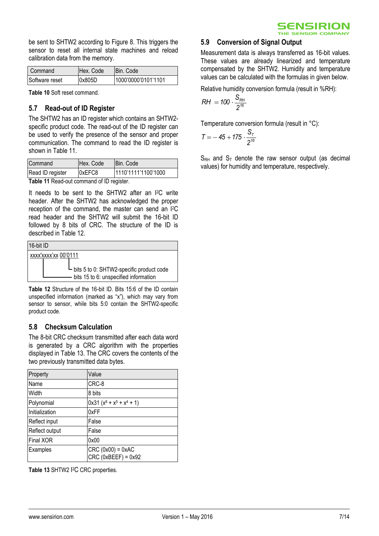

be sent to SHTW2 according to [Figure 8.](#page-7-1) This triggers the sensor to reset all internal state machines and reload calibration data from the memory.

| l Command      | IHex. Code | IBin. Code          |
|----------------|------------|---------------------|
| Software reset | 0x805D     | 1000'0000'0101'1101 |

**Table 10** Soft reset command.

## **5.7 Read-out of ID Register**

The SHTW2 has an ID register which contains an SHTW2 specific product code. The read-out of the ID register can be used to verify the presence of the sensor and proper communication. The command to read the ID register is shown in [Table 11.](#page-6-0)

| Command          | Hex. Code | Bin. Code           |
|------------------|-----------|---------------------|
| Read ID register | 0xEFC8    | 1110'1111'1100'1000 |
|                  |           |                     |

<span id="page-6-0"></span>**Table 11** Read-out command of ID register.

It needs to be sent to the SHTW2 after an I2C write header. After the SHTW2 has acknowledged the proper reception of the command, the master can send an I2C read header and the SHTW2 will submit the 16-bit ID followed by 8 bits of CRC. The structure of the ID is described in [Table 12.](#page-6-1)

 $16-64$  ID

| שו איט־טו |                                                                   |
|-----------|-------------------------------------------------------------------|
|           | xxxx'xxxx'xx 00'0111                                              |
|           | $\overline{\phantom{a}}$ bits 5 to 0: SHTW2-specific product code |
|           | bits 15 to 6: unspecified information                             |

<span id="page-6-1"></span>**Table 12** Structure of the 16-bit ID. Bits 15:6 of the ID contain unspecified information (marked as "x"), which may vary from sensor to sensor, while bits 5:0 contain the SHTW2-specific product code.

## **5.8 Checksum Calculation**

The 8-bit CRC checksum transmitted after each data word is generated by a CRC algorithm with the properties displayed in [Table 13.](#page-6-2) The CRC covers the contents of the two previously transmitted data bytes.

| Property       | Value                                              |
|----------------|----------------------------------------------------|
| Name           | CRC-8                                              |
| Width          | 8 bits                                             |
| Polynomial     | $0x31 (x^8 + x^5 + x^4 + 1)$                       |
| Initialization | 0xFF                                               |
| Reflect input  | False                                              |
| Reflect output | False                                              |
| Final XOR      | 0x00                                               |
| Examples       | $CRC (0x00) = 0xAC$<br>$CRC$ ( $0xBEEF$ ) = $0x92$ |

<span id="page-6-2"></span>Table 13 SHTW2 <sup>2</sup>C CRC properties.

#### **5.9 Conversion of Signal Output**

Measurement data is always transferred as 16-bit values. These values are already linearized and temperature compensated by the SHTW2. Humidity and temperature values can be calculated with the formulas in given below.

Relative humidity conversion formula (result in %RH):

$$
RH = 100 \cdot \frac{S_{RH}}{2^{16}}
$$

Temperature conversion formula (result in °C):

$$
T = -45 + 175 \cdot \frac{S_7}{2^{16}}
$$

 $S_{RH}$  and  $S_T$  denote the raw sensor output (as decimal values) for humidity and temperature, respectively.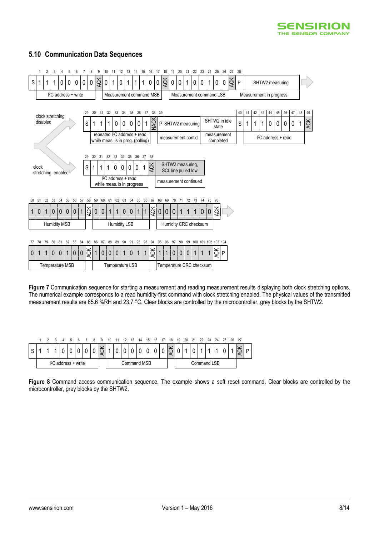

## **5.10 Communication Data Sequences**



<span id="page-7-0"></span>**Figure 7** Communication sequence for starting a measurement and reading measurement results displaying both clock stretching options. The numerical example corresponds to a read humidity-first command with clock stretching enabled. The physical values of the transmitted measurement results are 65.6 %RH and 23.7 °C. Clear blocks are controlled by the microcontroller, grey blocks by the SHTW2.

|  |                                  |  |  |  |  |  |             | a                 |   |  |  | 13     | 14 | 15 | 16 |  | 18       | 19          | 20 | 21       | 22                      | 23 | 24 | 25 | - 26 | - 27 |  |
|--|----------------------------------|--|--|--|--|--|-------------|-------------------|---|--|--|--------|----|----|----|--|----------|-------------|----|----------|-------------------------|----|----|----|------|------|--|
|  |                                  |  |  |  |  |  |             | $\checkmark$<br>ਨ | 1 |  |  | $\cap$ |    |    |    |  | $\times$ | $\cap$      |    | $\Omega$ | $\overline{\mathbf{A}}$ | л  |    | r  |      |      |  |
|  | I <sup>2</sup> C address + write |  |  |  |  |  | Command MSB |                   |   |  |  |        |    |    |    |  |          | Command LSB |    |          |                         |    |    |    |      |      |  |

<span id="page-7-1"></span>**Figure 8** Command access communication sequence. The example shows a soft reset command. Clear blocks are controlled by the microcontroller, grey blocks by the SHTW2.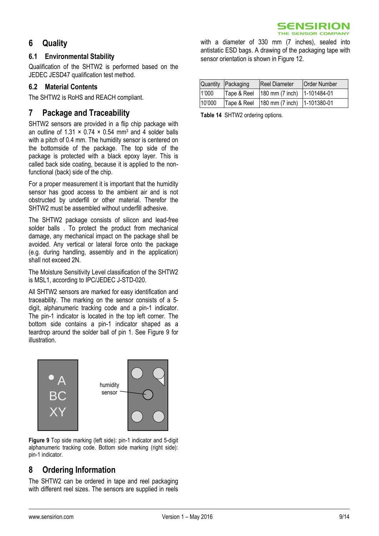## <span id="page-8-0"></span>**6 Quality**

## **6.1 Environmental Stability**

Qualification of the SHTW2 is performed based on the JEDEC JESD47 qualification test method.

## **6.2 Material Contents**

The SHTW2 is RoHS and REACH compliant.

## <span id="page-8-1"></span>**7 Package and Traceability**

SHTW2 sensors are provided in a flip chip package with an outline of  $1.31 \times 0.74 \times 0.54$  mm<sup>3</sup> and 4 solder balls with a pitch of 0.4 mm. The humidity sensor is centered on the bottomside of the package. The top side of the package is protected with a black epoxy layer. This is called back side coating, because it is applied to the nonfunctional (back) side of the chip.

For a proper measurement it is important that the humidity sensor has good access to the ambient air and is not obstructed by underfill or other material. Therefor the SHTW2 must be assembled without underfill adhesive.

The SHTW2 package consists of silicon and lead-free solder balls . To protect the product from mechanical damage, any mechanical impact on the package shall be avoided. Any vertical or lateral force onto the package (e.g. during handling, assembly and in the application) shall not exceed 2N.

The Moisture Sensitivity Level classification of the SHTW2 is MSL1, according to IPC/JEDEC J-STD-020.

All SHTW2 sensors are marked for easy identification and traceability. The marking on the sensor consists of a 5 digit, alphanumeric tracking code and a pin-1 indicator. The pin-1 indicator is located in the top left corner. The bottom side contains a pin-1 indicator shaped as a teardrop around the solder ball of pin 1. See [Figure 9](#page-8-2) for illustration.



<span id="page-8-2"></span>**Figure 9** Top side marking (left side): pin-1 indicator and 5-digit alphanumeric tracking code. Bottom side marking (right side): pin-1 indicator.

# **8 Ordering Information**

The SHTW2 can be ordered in tape and reel packaging with different reel sizes. The sensors are supplied in reels with a diameter of 330 mm (7 inches), sealed into antistatic ESD bags. A drawing of the packaging tape with sensor orientation is shown i[n Figure 12](#page-10-0).

|        | Quantity Packaging | <b>Reel Diameter</b>                        | <b>Order Number</b> |
|--------|--------------------|---------------------------------------------|---------------------|
| 1'000  | Tape & Reel        | $180$ mm (7 inch) $1-101484-01$             |                     |
| 10'000 |                    | Tape & Reel   180 mm (7 inch)   1-101380-01 |                     |

**Table 14** SHTW2 ordering options.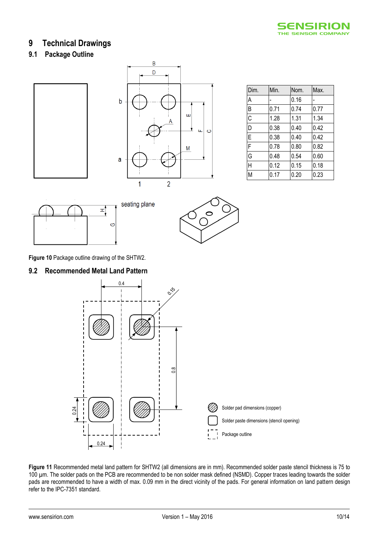

## <span id="page-9-0"></span>**9 Technical Drawings**

## **9.1 Package Outline**





| Dim. | Min. | Nom. | Max. |
|------|------|------|------|
| A    |      | 0.16 |      |
| B    | 0.71 | 0.74 | 0.77 |
| C    | 1.28 | 1.31 | 1.34 |
| D    | 0.38 | 0.40 | 0.42 |
| E    | 0.38 | 0.40 | 0.42 |
| F    | 0.78 | 0.80 | 0.82 |
| G    | 0.48 | 0.54 | 0.60 |
| H    | 0.12 | 0.15 | 0.18 |
| M    | 0.17 | 0.20 | 0.23 |





**Figure 10** Package outline drawing of the SHTW2.

## **9.2 Recommended Metal Land Pattern**



**Figure 11** Recommended metal land pattern for SHTW2 (all dimensions are in mm). Recommended solder paste stencil thickness is 75 to 100 µm. The solder pads on the PCB are recommended to be non solder mask defined (NSMD). Copper traces leading towards the solder pads are recommended to have a width of max. 0.09 mm in the direct vicinity of the pads. For general information on land pattern design refer to the IPC-7351 standard.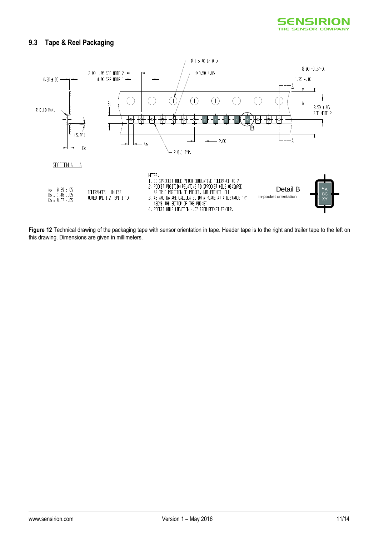## **9.3 Tape & Reel Packaging**



<span id="page-10-0"></span>**Figure 12** Technical drawing of the packaging tape with sensor orientation in tape. Header tape is to the right and trailer tape to the left on this drawing. Dimensions are given in millimeters.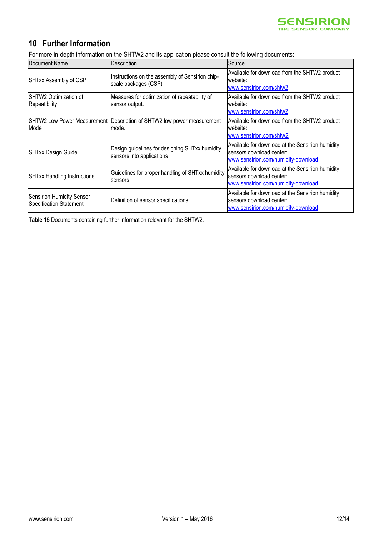

# <span id="page-11-0"></span>**10 Further Information**

For more in-depth information on the SHTW2 and its application please consult the following documents:

| Document Name                                                      | Description                                                                     | Source                                                                                                              |  |  |  |  |
|--------------------------------------------------------------------|---------------------------------------------------------------------------------|---------------------------------------------------------------------------------------------------------------------|--|--|--|--|
| SHTxx Assembly of CSP                                              | Instructions on the assembly of Sensirion chip-<br>scale packages (CSP)         | Available for download from the SHTW2 product<br>website:<br>www.sensirion.com/shtw2                                |  |  |  |  |
| SHTW2 Optimization of<br>Repeatibility                             | Measures for optimization of repeatability of<br>sensor output.                 | Available for download from the SHTW2 product<br>website:<br>www.sensirion.com/shtw2                                |  |  |  |  |
| Mode                                                               | SHTW2 Low Power Measurement Description of SHTW2 low power measurement<br>mode. | Available for download from the SHTW2 product<br>website:<br>www.sensirion.com/shtw2                                |  |  |  |  |
| SHTxx Design Guide                                                 | Design guidelines for designing SHTxx humidity<br>sensors into applications     | Available for download at the Sensirion humidity<br>sensors download center:<br>www.sensirion.com/humidity-download |  |  |  |  |
| <b>SHTxx Handling Instructions</b>                                 | Guidelines for proper handling of SHTxx humidity<br><b>Isensors</b>             | Available for download at the Sensirion humidity<br>sensors download center:<br>www.sensirion.com/humidity-download |  |  |  |  |
| <b>Sensirion Humidity Sensor</b><br><b>Specification Statement</b> | Definition of sensor specifications.                                            | Available for download at the Sensirion humidity<br>sensors download center:<br>www.sensirion.com/humidity-download |  |  |  |  |

**Table 15** Documents containing further information relevant for the SHTW2.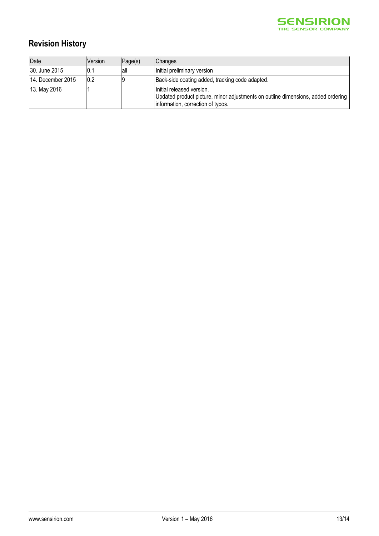

# **Revision History**

| Date              | <b>Version</b> | Page(s) | <b>Changes</b>                                                                                                                                     |
|-------------------|----------------|---------|----------------------------------------------------------------------------------------------------------------------------------------------------|
| 30. June 2015     | 10.1           | lall    | Initial preliminary version                                                                                                                        |
| 14. December 2015 | 10.2           |         | Back-side coating added, tracking code adapted.                                                                                                    |
| 13. May 2016      |                |         | Initial released version.<br>Updated product picture, minor adjustments on outline dimensions, added ordering<br>information, correction of typos. |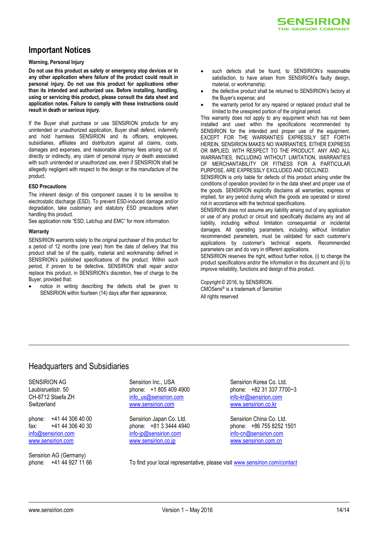

## <span id="page-13-0"></span>**Important Notices**

#### **Warning, Personal Injury**

**Do not use this product as safety or emergency stop devices or in any other application where failure of the product could result in personal injury. Do not use this product for applications other than its intended and authorized use. Before installing, handling, using or servicing this product, please consult the data sheet and application notes. Failure to comply with these instructions could result in death or serious injury.**

If the Buyer shall purchase or use SENSIRION products for any unintended or unauthorized application, Buyer shall defend, indemnify and hold harmless SENSIRION and its officers, employees, subsidiaries, affiliates and distributors against all claims, costs, damages and expenses, and reasonable attorney fees arising out of, directly or indirectly, any claim of personal injury or death associated with such unintended or unauthorized use, even if SENSIRION shall be allegedly negligent with respect to the design or the manufacture of the product.

#### **ESD Precautions**

The inherent design of this component causes it to be sensitive to electrostatic discharge (ESD). To prevent ESD-induced damage and/or degradation, take customary and statutory ESD precautions when handling this product.

See application note "ESD, Latchup and EMC" for more information.

#### **Warranty**

SENSIRION warrants solely to the original purchaser of this product for a period of 12 months (one year) from the date of delivery that this product shall be of the quality, material and workmanship defined in SENSIRION's published specifications of the product. Within such period, if proven to be defective, SENSIRION shall repair and/or replace this product, in SENSIRION's discretion, free of charge to the Buyer, provided that:

 notice in writing describing the defects shall be given to SENSIRION within fourteen (14) days after their appearance;

- such defects shall be found, to SENSIRION's reasonable satisfaction, to have arisen from SENSIRION's faulty design, material, or workmanship;
- the defective product shall be returned to SENSIRION's factory at the Buyer's expense; and
- the warranty period for any repaired or replaced product shall be limited to the unexpired portion of the original period.

This warranty does not apply to any equipment which has not been installed and used within the specifications recommended by SENSIRION for the intended and proper use of the equipment. EXCEPT FOR THE WARRANTIES EXPRESSLY SET FORTH HEREIN, SENSIRION MAKES NO WARRANTIES, EITHER EXPRESS OR IMPLIED, WITH RESPECT TO THE PRODUCT. ANY AND ALL WARRANTIES, INCLUDING WITHOUT LIMITATION, WARRANTIES OF MERCHANTABILITY OR FITNESS FOR A PARTICULAR PURPOSE, ARE EXPRESSLY EXCLUDED AND DECLINED.

SENSIRION is only liable for defects of this product arising under the conditions of operation provided for in the data sheet and proper use of the goods. SENSIRION explicitly disclaims all warranties, express or implied, for any period during which the goods are operated or stored not in accordance with the technical specifications.

SENSIRION does not assume any liability arising out of any application or use of any product or circuit and specifically disclaims any and all liability, including without limitation consequential or incidental damages. All operating parameters, including without limitation recommended parameters, must be validated for each customer's applications by customer's technical experts. Recommended parameters can and do vary in different applications.

SENSIRION reserves the right, without further notice, (i) to change the product specifications and/or the information in this document and (ii) to improve reliability, functions and design of this product.

Copyright © 2016, by SENSIRION. CMOSens® is a trademark of Sensirion All rights reserved

## Headquarters and Subsidiaries

SENSIRION AG Laubisruetistr. 50 CH-8712 Staefa ZH **Switzerland** 

phone: +41 44 306 40 00 fax: +41 44 306 40 30 [info@sensirion.com](mailto:info@sensirion.com) [www.sensirion.com](http://www.sensirion.com/)

Sensirion AG (Germany)

Sensirion Inc., USA phone: +1 805 409 4900 [info\\_us@sensirion.com](mailto:info_us@sensirion.com) [www.sensirion.com](http://www.sensirion.com/)

Sensirion Japan Co. Ltd. phone: +81 3 3444 4940 [info-jp@sensirion.com](mailto:info-jp@sensirion.co) [www.sensirion.co.jp](http://www.sensirion.co.jp/)

Sensirion Korea Co. Ltd. phone: +82 31 337 7700~3 [info-kr@sensirion.com](mailto:info-kr@sensirion.co) [www.sensirion.co.kr](http://www.sensirion.co.kr/)

Sensirion China Co. Ltd. phone: +86 755 8252 1501 [info-cn@sensirion.com](mailto:info-cn@sensirion.com) [www.sensirion.com.c](http://www.sensirion.com/)n

phone: +41 44 927 11 66 To find your local representative, please visi[t www.sensirion.com/contact](http://www.sensirion.com/contact)